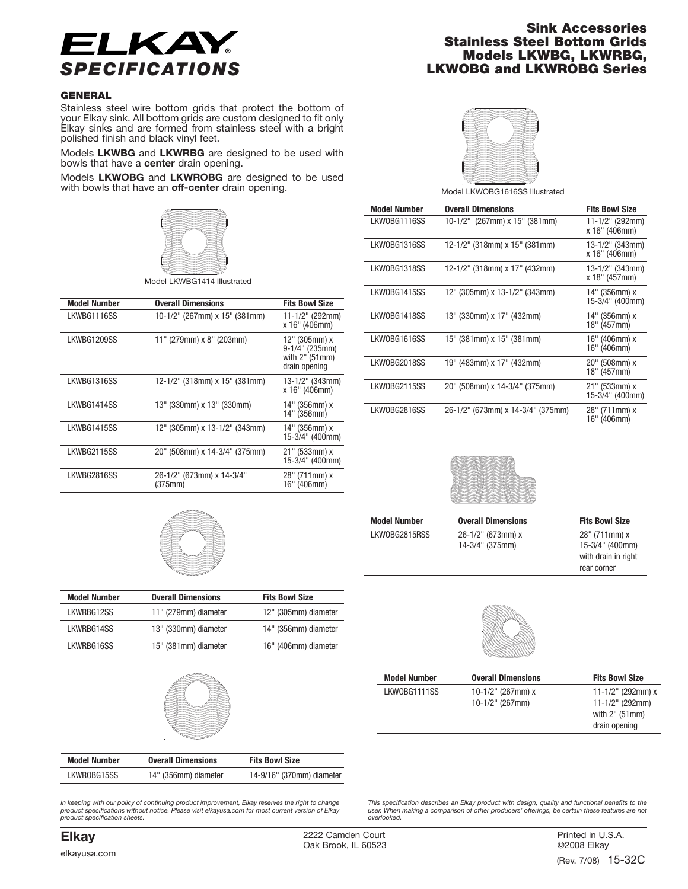

## **Sink Accessories Stainless Steel Bottom Grids Models LKWBG, LKWRBG,** *SPECIFICATIONS* **LKWOBG and LKWROBG Series**

## **GENERAL**

Stainless steel wire bottom grids that protect the bottom of your Elkay sink. All bottom grids are custom designed to fit only Elkay sinks and are formed from stainless steel with a bright polished finish and black vinyl feet.

Models **LKWBG** and **LKWRBG** are designed to be used with bowls that have a **center** drain opening.

Models **LKWOBG** and **LKWROBG** are designed to be used with bowls that have an **off-center** drain opening.



Model LKWBG1414 Illustrated

| <b>Model Number</b> | <b>Overall Dimensions</b>            | <b>Fits Bowl Size</b>                                              |
|---------------------|--------------------------------------|--------------------------------------------------------------------|
| LKWBG1116SS         | 10-1/2" (267mm) x 15" (381mm)        | 11-1/2" (292mm)<br>x 16" (406mm)                                   |
| LKWBG1209SS         | 11" (279mm) x 8" (203mm)             | 12" (305mm) x<br>9-1/4" (235mm)<br>with 2" (51mm)<br>drain opening |
| LKWBG1316SS         | 12-1/2" (318mm) x 15" (381mm)        | 13-1/2" (343mm)<br>x 16" (406mm)                                   |
| LKWBG1414SS         | 13" (330mm) x 13" (330mm)            | 14" (356mm) x<br>14" (356mm)                                       |
| LKWBG1415SS         | 12" (305mm) x 13-1/2" (343mm)        | 14" (356mm) x<br>15-3/4" (400mm)                                   |
| LKWBG2115SS         | 20" (508mm) x 14-3/4" (375mm)        | 21" (533mm) x<br>15-3/4" (400mm)                                   |
| LKWBG2816SS         | 26-1/2" (673mm) x 14-3/4"<br>(375mm) | 28" (711mm) x<br>16" (406mm)                                       |
|                     |                                      |                                                                    |



Model LKWOBG1616SS Illustrated

| <b>Model Number</b> | <b>Overall Dimensions</b>           | <b>Fits Bowl Size</b>               |
|---------------------|-------------------------------------|-------------------------------------|
| LKWOBG1116SS        | $10-1/2$ " (267mm) x $15$ " (381mm) | 11-1/2" (292mm)<br>x 16" (406mm)    |
| LKW0BG1316SS        | 12-1/2" (318mm) x 15" (381mm)       | 13-1/2" (343mm)<br>x 16" (406mm)    |
| LKWOBG1318SS        | 12-1/2" (318mm) x 17" (432mm)       | $13-1/2$ " (343mm)<br>x 18" (457mm) |
| LKWOBG1415SS        | 12" (305mm) x 13-1/2" (343mm)       | 14" (356mm) x<br>15-3/4" (400mm)    |
| LKWOBG1418SS        | 13" (330mm) x 17" (432mm)           | 14" (356mm) x<br>18" (457mm)        |
| LKWOBG1616SS        | 15" (381mm) x 15" (381mm)           | 16" (406mm) x<br>16" (406mm)        |
| LKW0BG2018SS        | 19" (483mm) x 17" (432mm)           | 20" (508mm) x<br>18" (457mm)        |
| LKWOBG2115SS        | 20" (508mm) x 14-3/4" (375mm)       | 21" (533mm) x<br>15-3/4" (400mm)    |
| LKW0BG2816SS        | 26-1/2" (673mm) x 14-3/4" (375mm)   | 28" (711mm) x<br>16" (406mm)        |



LKWOBG2815RSS 26-1/2" (673mm) x 28" (711mm) x

**Model Number Overall Dimensions Fits Bowl Size** 14-3/4" (375mm) 15-3/4" (400mm) with drain in right rear corner



|  | <b>Model Number</b> | <b>Overall Dimensions</b> | <b>Fits Bowl Size</b> |
|--|---------------------|---------------------------|-----------------------|
|  | LKWOBG1111SS        | 10-1/2" (267mm) $x$       | 11-1/2" (292mm) x     |
|  |                     | $10-1/2$ " (267mm)        | $11 - 1/2$ " (292mm)  |
|  |                     |                           | with $2"$ (51mm)      |
|  |                     |                           | drain opening         |



| <b>Model Number</b> | <b>Overall Dimensions</b> | <b>Fits Bowl Size</b> |
|---------------------|---------------------------|-----------------------|
| LKWRBG12SS          | 11" (279mm) diameter      | 12" (305mm) diameter  |
| LKWRBG14SS          | 13" (330mm) diameter      | 14" (356mm) diameter  |
| LKWRBG16SS          | 15" (381mm) diameter      | 16" (406mm) diameter  |



| <b>Model Number</b> | <b>Overall Dimensions</b> | <b>Fits Bowl Size</b>     |
|---------------------|---------------------------|---------------------------|
| LKWROBG15SS         | 14" (356mm) diameter      | 14-9/16" (370mm) diameter |

In keeping with our policy of continuing product improvement, Elkay reserves the right to change<br>product specifications without notice. Please visit elkayusa.com for most current version of Elkay *product specification sheets.*

This specification describes an Elkay product with design, quality and functional benefits to the<br>user. When making a comparison of other producers' offerings, be certain these features are not *overlooked.*

**Elkay** 2222 Camden Court Oak Brook, IL 60523